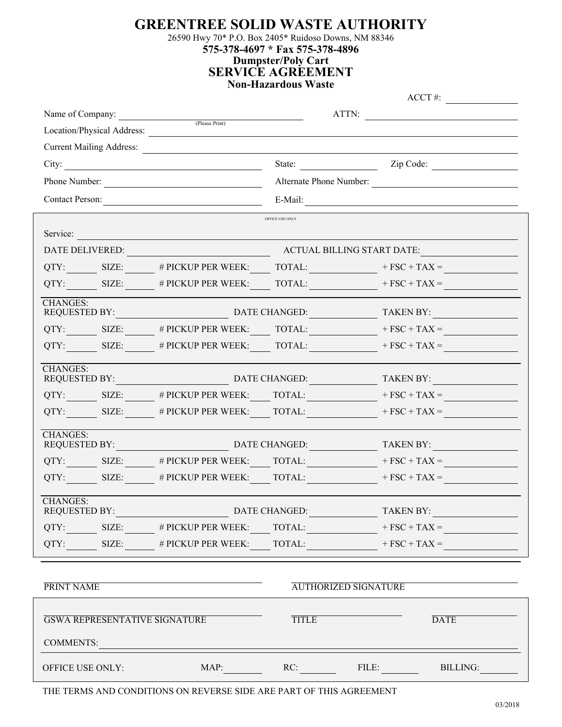**GREENTREE SOLID WASTE AUTHORITY**

26590 Hwy 70\* P.O. Box 2405\* Ruidoso Downs, NM 88346

**575-378-4697 \* Fax 575-378-4896**

**Dumpster/Poly Cart SERVICE AGREEMENT**

## **Non-Hazardous Waste**

ACCT #: Name of Company: ATTN: (Please Print) Location/Physical Address: Current Mailing Address: City: State: Zip Code: Phone Number: Alternate Phone Number: Contact Person: E-Mail: OFFICE USE ONLY Service: DATE DELIVERED: ACTUAL BILLING START DATE: QTY: SIZE: # PICKUP PER WEEK: TOTAL:  $+ FSC + TAX =$ QTY: SIZE: # PICKUP PER WEEK: TOTAL:  $+ FSC + TAX =$ CHANGES: REQUESTED BY: DATE CHANGED: TAKEN BY: QTY: SIZE:  $\qquad$  # PICKUP PER WEEK: TOTAL:  $+$  FSC + TAX = QTY: SIZE: # PICKUP PER WEEK: TOTAL:  $+ FSC + TAX =$ CHANGES: REQUESTED BY: DATE CHANGED: TAKEN BY: QTY: SIZE:  $\qquad$  # PICKUP PER WEEK: TOTAL:  $+$  FSC + TAX = QTY: SIZE: # PICKUP PER WEEK:  $\qquad$  TOTAL: + FSC + TAX = CHANGES: PARTICULARY:<br>REQUESTED BY: DATE CHANGED: TAKEN BY: QTY: SIZE:  $\qquad$  # PICKUP PER WEEK:  $\qquad$  TOTAL:  $+$  FSC + TAX = QTY: SIZE: # PICKUP PER WEEK:  $TOTAL:$  + FSC + TAX = CHANGES:<br>REQUESTED BY: DATE CHANGED: TAKEN BY:  $QTY:$  SIZE: # PICKUP PER WEEK: TOTAL: + FSC + TAX =  $QTY:$  SIZE: # PICKUP PER WEEK: TOTAL: + FSC + TAX =

PRINT NAME AUTHORIZED SIGNATURE

| <b>GSWA REPRESENTATIVE SIGNATURE</b> |      | <b>TITLE</b> |       | <b>DATE</b> |
|--------------------------------------|------|--------------|-------|-------------|
| <b>COMMENTS:</b>                     |      |              |       |             |
| <b>OFFICE USE ONLY:</b>              | MAP: | RC:          | FILE: | BILLING:    |

THE TERMS AND CONDITIONS ON REVERSE SIDE ARE PART OF THIS AGREEMENT